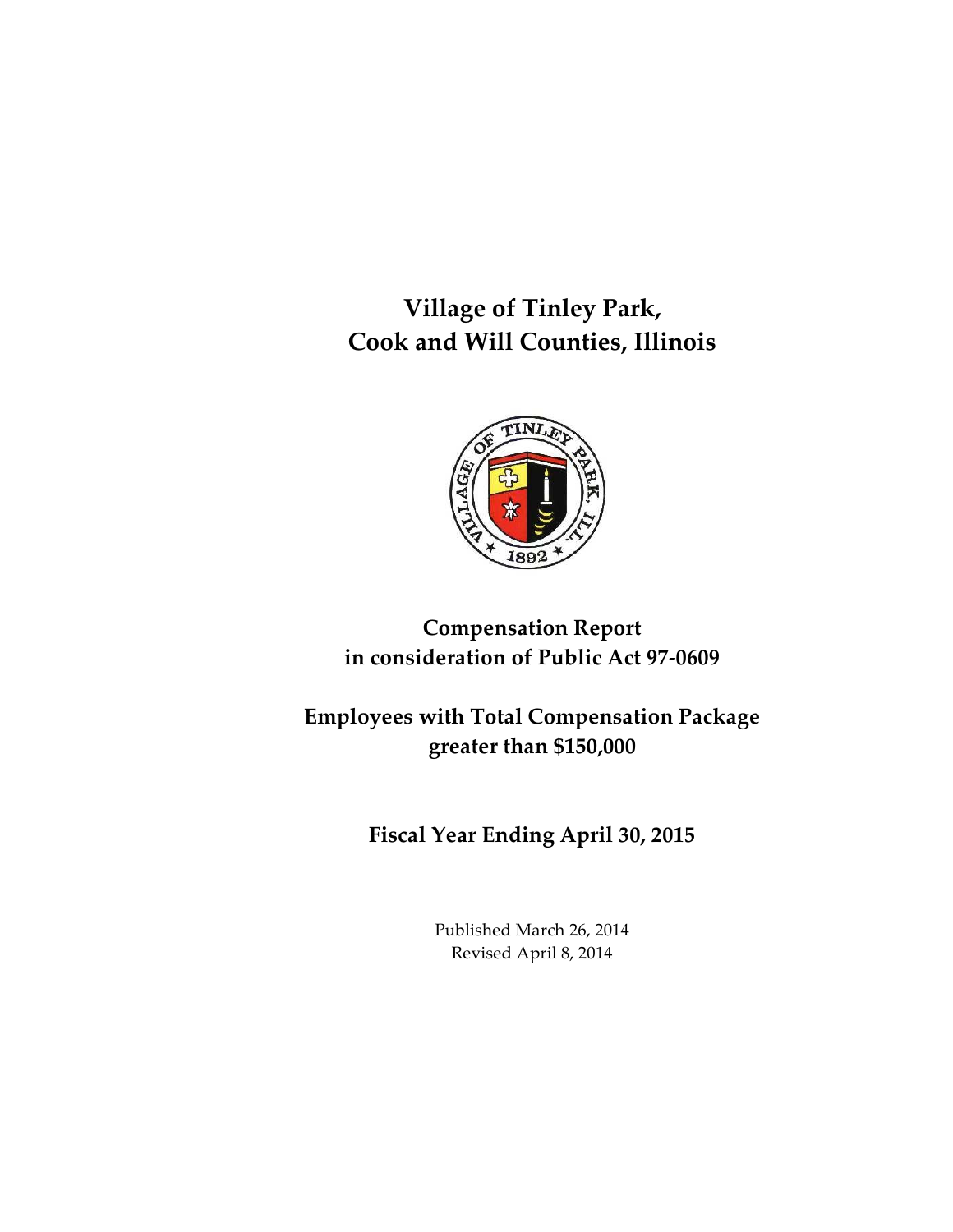**Village of Tinley Park, Cook and Will Counties, Illinois**



## **Compensation Report in consideration of Public Act 97-0609**

**Employees with Total Compensation Package greater than \$150,000**

**Fiscal Year Ending April 30, 2015**

Published March 26, 2014 Revised April 8, 2014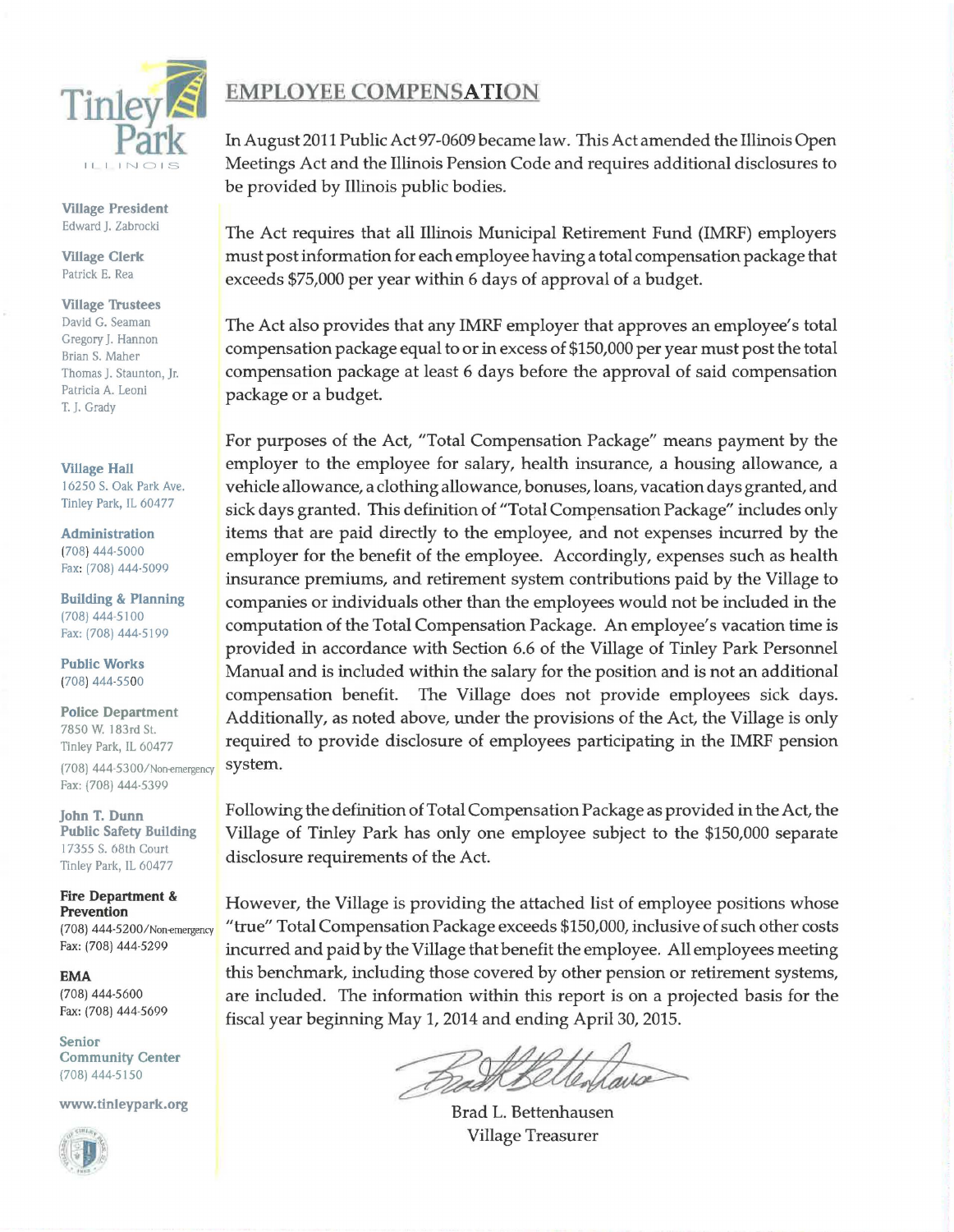

Village President Edward J. Zabrocki

Village Clerk Patrick E. Rea

## Village Trustees

David G. Seaman Gregory J. Hannon Brian S. Maher Thomas J. Staunton, Jr. Patricia A. Leoni T. *].* Grady

Village Hall 16250 S. Oak Park Ave. Tinley Park, IL 60477

Administration (708) 444-5000 Fax: (708) 444·5099

Building & Planning (708) 444-5100 Fax: (708) 444-5199

Public Works (708) 444-5500

Police Department 7850 W. 183rd St. Tinley Park, IL 60477 (708) 444-5300/Non-emergency system. Fax: (708) 444.5399

John T. Dunn Public Safety Building 17355 S. 68th Court Tinley Park, IL 60477

Fire Department & Prevention (708) 444-5200/Non-emergency Fax: (708) 444-5299

EMA (708) 444-5600 Fax: (708) 444-5699

Senior Community Center (708) 444-5150

www.tinleypark.org



## EMPLOYEE COMPENSATION

In August 2011 Public Act 97-0609 became law. This Act amended the Illinois Open Meetings Act and the Illinois Pension Code and requires additional disclosures to be provided by Illinois public bodies.

The Act requires that all Illinois Municipal Retirement Fund (IMRF) employers must post information for each employee having a total compensation package that exceeds \$75,000 per year within 6 days of approval of a budget.

The Act also provides that any IMRF employer that approves an employee's total compensation package equal to or in excess of \$150,000 per year must post the total compensation package at least 6 days before the approval of said compensation package or a budget.

For purposes of the Act, "Total Compensation Package" means payment by the employer to the employee for salary, health insurance, a housing allowance, a vehicle allowance, a clothing allowance, bonuses, loans, vacation days granted, and sick days granted. This definition of "Total Compensation Package" includes only items that are paid directly to the employee, and not expenses incurred by the employer for the benefit of the employee. Accordingly, expenses such as health insurance premiums, and retirement system contributions paid by the Village to companies or individuals other than the employees would not be included in the computation of the Total Compensation Package. An employee's vacation time is provided in accordance with Section 6.6 of the Village of Tinley Park Personnel Manual and is included within the salary for the position and is not an additional compensation benefit. The Village does not provide employees sick days. Additionally, as noted above, under the provisions of the Act, the Village is only required to provide disclosure of employees participating in the IMRF pension

Following the definition of Total Compensation Package as provided in the Act, the Village of Tinley Park has only one employee subject to the \$150,000 separate disclosure requirements of the Act.

However, the Village is providing the attached list of employee positions whose "true" Total Compensation Package exceeds \$150,000, inclusive of such other costs incurred and paid by the Village that benefit the employee. All employees meeting this benchmark, including those covered by other pension or retirement systems, are included. The information within this report is on a projected basis for the fiscal year beginning May 1, 2014 and ending April 30, 2015.

Badh Cavo

Brad L. Bettenhausen Village Treasurer